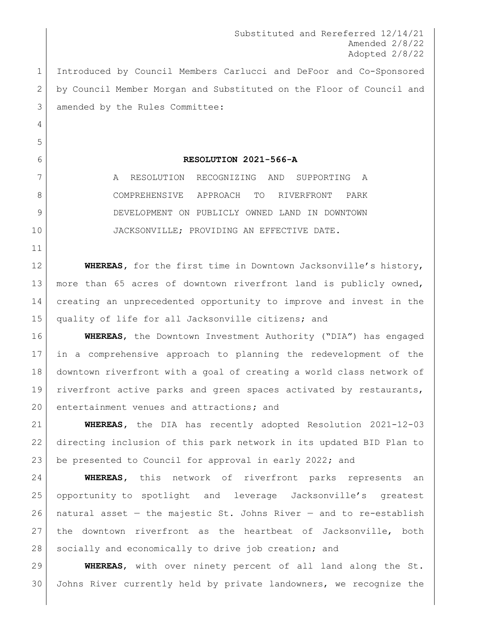Substituted and Rereferred 12/14/21 Amended 2/8/22 Adopted 2/8/22

 Introduced by Council Members Carlucci and DeFoor and Co-Sponsored by Council Member Morgan and Substituted on the Floor of Council and amended by the Rules Committee:

## **RESOLUTION 2021-566-A**

7 A RESOLUTION RECOGNIZING AND SUPPORTING A COMPREHENSIVE APPROACH TO RIVERFRONT PARK DEVELOPMENT ON PUBLICLY OWNED LAND IN DOWNTOWN JACKSONVILLE; PROVIDING AN EFFECTIVE DATE.

 **WHEREAS,** for the first time in Downtown Jacksonville's history, more than 65 acres of downtown riverfront land is publicly owned, creating an unprecedented opportunity to improve and invest in the quality of life for all Jacksonville citizens; and

 **WHEREAS**, the Downtown Investment Authority ("DIA") has engaged in a comprehensive approach to planning the redevelopment of the downtown riverfront with a goal of creating a world class network of riverfront active parks and green spaces activated by restaurants, entertainment venues and attractions**;** and

 **WHEREAS,** the DIA has recently adopted Resolution 2021-12-03 directing inclusion of this park network in its updated BID Plan to 23 be presented to Council for approval in early 2022; and

 **WHEREAS,** this network of riverfront parks represents an opportunity to spotlight and leverage Jacksonville's greatest 26 | natural asset  $-$  the majestic St. Johns River  $-$  and to re-establish the downtown riverfront as the heartbeat of Jacksonville, both 28 socially and economically to drive job creation; and

 **WHEREAS**, with over ninety percent of all land along the St. Johns River currently held by private landowners, we recognize the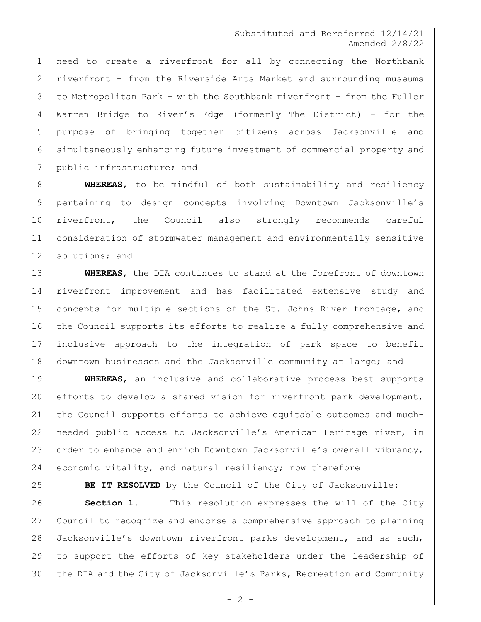## Substituted and Rereferred 12/14/21 Amended 2/8/22

 need to create a riverfront for all by connecting the Northbank riverfront – from the Riverside Arts Market and surrounding museums to Metropolitan Park – with the Southbank riverfront – from the Fuller Warren Bridge to River's Edge (formerly The District) – for the purpose of bringing together citizens across Jacksonville and simultaneously enhancing future investment of commercial property and public infrastructure; and

 **WHEREAS**, to be mindful of both sustainability and resiliency pertaining to design concepts involving Downtown Jacksonville's riverfront, the Council also strongly recommends careful consideration of stormwater management and environmentally sensitive 12 solutions; and

 **WHEREAS**, the DIA continues to stand at the forefront of downtown riverfront improvement and has facilitated extensive study and 15 concepts for multiple sections of the St. Johns River frontage, and the Council supports its efforts to realize a fully comprehensive and inclusive approach to the integration of park space to benefit 18 downtown businesses and the Jacksonville community at large; and

 **WHEREAS**, an inclusive and collaborative process best supports 20 efforts to develop a shared vision for riverfront park development, the Council supports efforts to achieve equitable outcomes and much- needed public access to Jacksonville's American Heritage river, in 23 order to enhance and enrich Downtown Jacksonville's overall vibrancy, economic vitality, and natural resiliency; now therefore

**BE IT RESOLVED** by the Council of the City of Jacksonville:

 **Section 1.** This resolution expresses the will of the City Council to recognize and endorse a comprehensive approach to planning Jacksonville's downtown riverfront parks development, and as such, to support the efforts of key stakeholders under the leadership of the DIA and the City of Jacksonville's Parks, Recreation and Community